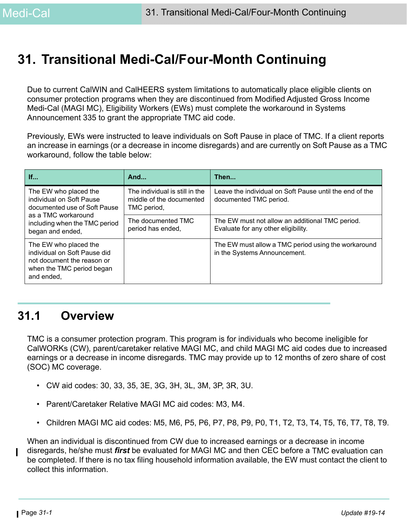# **31. Transitional Medi-Cal/Four-Month Continuing**

Due to current CalWIN and CalHEERS system limitations to automatically place eligible clients on consumer protection programs when they are discontinued from Modified Adjusted Gross Income Medi-Cal (MAGI MC), Eligibility Workers (EWs) must complete the workaround in Systems Announcement 335 to grant the appropriate TMC aid code.

Previously, EWs were instructed to leave individuals on Soft Pause in place of TMC. If a client reports an increase in earnings (or a decrease in income disregards) and are currently on Soft Pause as a TMC workaround, follow the table below:

| If                                                                                                                             | And                                                                       | Then                                                                                   |
|--------------------------------------------------------------------------------------------------------------------------------|---------------------------------------------------------------------------|----------------------------------------------------------------------------------------|
| The EW who placed the<br>individual on Soft Pause<br>documented use of Soft Pause                                              | The individual is still in the<br>middle of the documented<br>TMC period, | Leave the individual on Soft Pause until the end of the<br>documented TMC period.      |
| as a TMC workaround<br>including when the TMC period<br>began and ended,                                                       | The documented TMC<br>period has ended,                                   | The EW must not allow an additional TMC period.<br>Evaluate for any other eligibility. |
| The EW who placed the<br>individual on Soft Pause did<br>not document the reason or<br>when the TMC period began<br>and ended, |                                                                           | The EW must allow a TMC period using the workaround<br>in the Systems Announcement.    |

# **31.1 Overview**

TMC is a consumer protection program. This program is for individuals who become ineligible for CalWORKs (CW), parent/caretaker relative MAGI MC, and child MAGI MC aid codes due to increased earnings or a decrease in income disregards. TMC may provide up to 12 months of zero share of cost (SOC) MC coverage.

- CW aid codes: 30, 33, 35, 3E, 3G, 3H, 3L, 3M, 3P, 3R, 3U.
- Parent/Caretaker Relative MAGI MC aid codes: M3, M4.
- Children MAGI MC aid codes: M5, M6, P5, P6, P7, P8, P9, P0, T1, T2, T3, T4, T5, T6, T7, T8, T9.

When an individual is discontinued from CW due to increased earnings or a decrease in income disregards, he/she must *first* be evaluated for MAGI MC and then CEC before a TMC evaluation can be completed. If there is no tax filing household information available, the EW must contact the client to collect this information.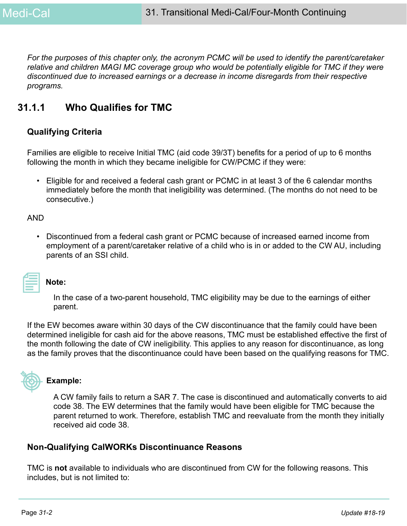*For the purposes of this chapter only, the acronym PCMC will be used to identify the parent/caretaker relative and children MAGI MC coverage group who would be potentially eligible for TMC if they were discontinued due to increased earnings or a decrease in income disregards from their respective programs.*

## **31.1.1 Who Qualifies for TMC**

### **Qualifying Criteria**

Families are eligible to receive Initial TMC (aid code 39/3T) benefits for a period of up to 6 months following the month in which they became ineligible for CW/PCMC if they were:

• Eligible for and received a federal cash grant or PCMC in at least 3 of the 6 calendar months immediately before the month that ineligibility was determined. (The months do not need to be consecutive.)

AND

• Discontinued from a federal cash grant or PCMC because of increased earned income from employment of a parent/caretaker relative of a child who is in or added to the CW AU, including parents of an SSI child.

| 2009년 - 대한민국의 대한민국의 대한민국의 대한민국의 대한민국의 대한민국의 대한민국의 대한민국의 대한민국의 대한민국의 대한민국의 대한민국의 대한민국의 대한민국의 대한민국의 대한민국의 대한민국의 |  |
|---------------------------------------------------------------------------------------------------------------|--|
|                                                                                                               |  |
|                                                                                                               |  |
|                                                                                                               |  |
|                                                                                                               |  |

#### **Note:**

In the case of a two-parent household, TMC eligibility may be due to the earnings of either parent.

If the EW becomes aware within 30 days of the CW discontinuance that the family could have been determined ineligible for cash aid for the above reasons, TMC must be established effective the first of the month following the date of CW ineligibility. This applies to any reason for discontinuance, as long as the family proves that the discontinuance could have been based on the qualifying reasons for TMC.



#### **Example:**

A CW family fails to return a SAR 7. The case is discontinued and automatically converts to aid code 38. The EW determines that the family would have been eligible for TMC because the parent returned to work. Therefore, establish TMC and reevaluate from the month they initially received aid code 38.

## **Non-Qualifying CalWORKs Discontinuance Reasons**

TMC is **not** available to individuals who are discontinued from CW for the following reasons. This includes, but is not limited to: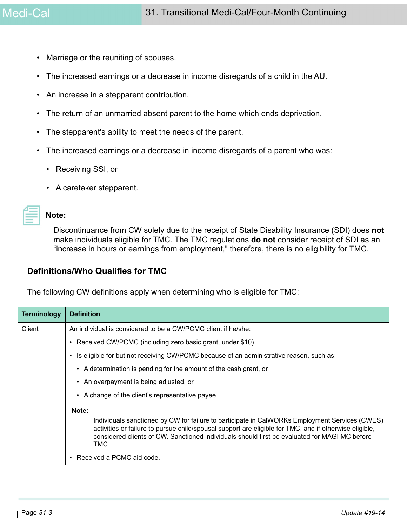- Marriage or the reuniting of spouses.
- The increased earnings or a decrease in income disregards of a child in the AU.
- An increase in a stepparent contribution.
- The return of an unmarried absent parent to the home which ends deprivation.
- The stepparent's ability to meet the needs of the parent.
- The increased earnings or a decrease in income disregards of a parent who was:
	- Receiving SSI, or
	- A caretaker stepparent.

#### **Note:**

Discontinuance from CW solely due to the receipt of State Disability Insurance (SDI) does **not** make individuals eligible for TMC. The TMC regulations **do not** consider receipt of SDI as an "increase in hours or earnings from employment," therefore, there is no eligibility for TMC.

#### **Definitions/Who Qualifies for TMC**

The following CW definitions apply when determining who is eligible for TMC:

| <b>Terminology</b> | <b>Definition</b>                                                                                                                                                                                                                                                                                                 |  |  |
|--------------------|-------------------------------------------------------------------------------------------------------------------------------------------------------------------------------------------------------------------------------------------------------------------------------------------------------------------|--|--|
| Client             | An individual is considered to be a CW/PCMC client if he/she:                                                                                                                                                                                                                                                     |  |  |
|                    | Received CW/PCMC (including zero basic grant, under \$10).                                                                                                                                                                                                                                                        |  |  |
|                    | Is eligible for but not receiving CW/PCMC because of an administrative reason, such as:                                                                                                                                                                                                                           |  |  |
|                    | A determination is pending for the amount of the cash grant, or<br>$\bullet$                                                                                                                                                                                                                                      |  |  |
|                    | • An overpayment is being adjusted, or                                                                                                                                                                                                                                                                            |  |  |
|                    | • A change of the client's representative payee.                                                                                                                                                                                                                                                                  |  |  |
|                    | Note:                                                                                                                                                                                                                                                                                                             |  |  |
|                    | Individuals sanctioned by CW for failure to participate in CalWORKs Employment Services (CWES)<br>activities or failure to pursue child/spousal support are eligible for TMC, and if otherwise eligible,<br>considered clients of CW. Sanctioned individuals should first be evaluated for MAGI MC before<br>TMC. |  |  |
|                    | Received a PCMC aid code.                                                                                                                                                                                                                                                                                         |  |  |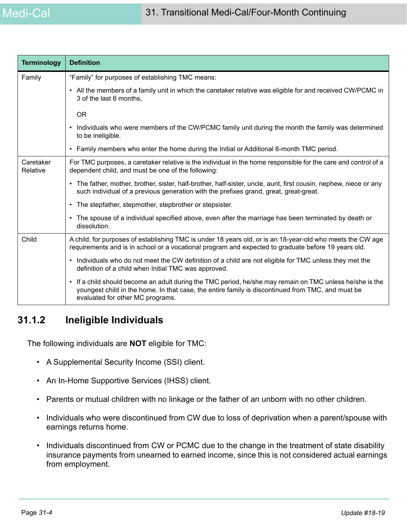| <b>Terminology</b>    | <b>Definition</b>                                                                                                                                                                                                                                            |
|-----------------------|--------------------------------------------------------------------------------------------------------------------------------------------------------------------------------------------------------------------------------------------------------------|
| Family                | "Family" for purposes of establishing TMC means:                                                                                                                                                                                                             |
|                       | • All the members of a family unit in which the caretaker relative was eligible for and received CW/PCMC in<br>3 of the last 6 months,                                                                                                                       |
|                       | <b>OR</b>                                                                                                                                                                                                                                                    |
|                       | Individuals who were members of the CW/PCMC family unit during the month the family was determined<br>٠<br>to be ineligible.                                                                                                                                 |
|                       | Family members who enter the home during the Initial or Additional 6-month TMC period.<br>٠                                                                                                                                                                  |
| Caretaker<br>Relative | For TMC purposes, a caretaker relative is the individual in the home responsible for the care and control of a<br>dependent child, and must be one of the following:                                                                                         |
|                       | • The father, mother, brother, sister, half-brother, half-sister, uncle, aunt, first cousin, nephew, niece or any<br>such individual of a previous generation with the prefixes grand, great, great-great.                                                   |
|                       | The stepfather, stepmother, stepbrother or stepsister.<br>$\bullet$                                                                                                                                                                                          |
|                       | The spouse of a individual specified above, even after the marriage has been terminated by death or<br>$\bullet$<br>dissolution.                                                                                                                             |
| Child                 | A child, for purposes of establishing TMC is under 18 years old, or is an 18-year-old who meets the CW age<br>requirements and is in school or a vocational program and expected to graduate before 19 years old.                                            |
|                       | Individuals who do not meet the CW definition of a child are not eligible for TMC unless they met the<br>$\bullet$<br>definition of a child when Initial TMC was approved.                                                                                   |
|                       | If a child should become an adult during the TMC period, he/she may remain on TMC unless he/she is the<br>$\bullet$<br>youngest child in the home. In that case, the entire family is discontinued from TMC, and must be<br>evaluated for other MC programs. |

# **31.1.2 Ineligible Individuals**

The following individuals are **NOT** eligible for TMC:

- A Supplemental Security Income (SSI) client.
- An In-Home Supportive Services (IHSS) client.
- Parents or mutual children with no linkage or the father of an unborn with no other children.
- Individuals who were discontinued from CW due to loss of deprivation when a parent/spouse with earnings returns home.
- Individuals discontinued from CW or PCMC due to the change in the treatment of state disability insurance payments from unearned to earned income, since this is not considered actual earnings from employment.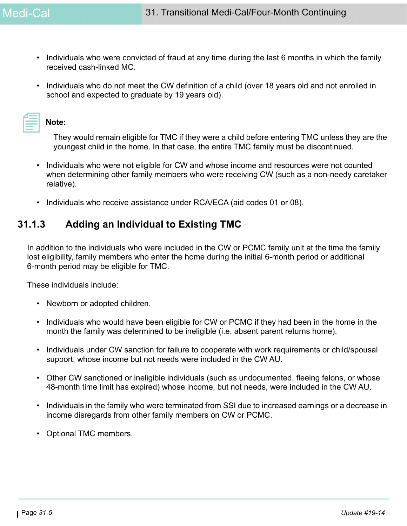- Individuals who were convicted of fraud at any time during the last 6 months in which the family received cash-linked MC.
- Individuals who do not meet the CW definition of a child (over 18 years old and not enrolled in school and expected to graduate by 19 years old).

| <b>Note:</b> |
|--------------|
|--------------|

They would remain eligible for TMC if they were a child before entering TMC unless they are the youngest child in the home. In that case, the entire TMC family must be discontinued.

- Individuals who were not eligible for CW and whose income and resources were not counted when determining other family members who were receiving CW (such as a non-needy caretaker relative).
- Individuals who receive assistance under RCA/ECA (aid codes 01 or 08).

## **31.1.3 Adding an Individual to Existing TMC**

In addition to the individuals who were included in the CW or PCMC family unit at the time the family lost eligibility, family members who enter the home during the initial 6-month period or additional 6-month period may be eligible for TMC.

These individuals include:

- Newborn or adopted children.
- Individuals who would have been eligible for CW or PCMC if they had been in the home in the month the family was determined to be ineligible (i.e. absent parent returns home).
- Individuals under CW sanction for failure to cooperate with work requirements or child/spousal support, whose income but not needs were included in the CW AU.
- Other CW sanctioned or ineligible individuals (such as undocumented, fleeing felons, or whose 48-month time limit has expired) whose income, but not needs, were included in the CW AU.
- Individuals in the family who were terminated from SSI due to increased earnings or a decrease in income disregards from other family members on CW or PCMC.
- Optional TMC members.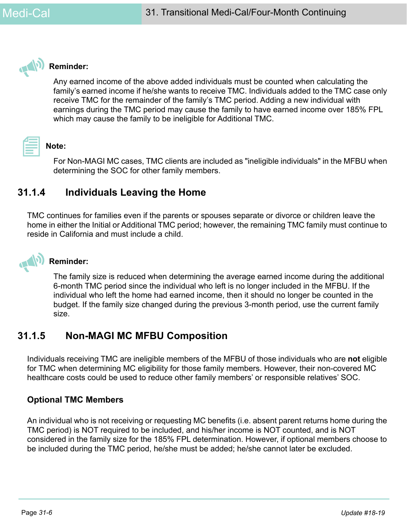

### **Reminder:**

Any earned income of the above added individuals must be counted when calculating the family's earned income if he/she wants to receive TMC. Individuals added to the TMC case only receive TMC for the remainder of the family's TMC period. Adding a new individual with earnings during the TMC period may cause the family to have earned income over 185% FPL which may cause the family to be ineligible for Additional TMC.

# **Note:**

For Non-MAGI MC cases, TMC clients are included as "ineligible individuals" in the MFBU when determining the SOC for other family members.

# **31.1.4 Individuals Leaving the Home**

TMC continues for families even if the parents or spouses separate or divorce or children leave the home in either the Initial or Additional TMC period; however, the remaining TMC family must continue to reside in California and must include a child.



## **Reminder:**

The family size is reduced when determining the average earned income during the additional 6-month TMC period since the individual who left is no longer included in the MFBU. If the individual who left the home had earned income, then it should no longer be counted in the budget. If the family size changed during the previous 3-month period, use the current family size.

# <span id="page-5-0"></span>**31.1.5 Non-MAGI MC MFBU Composition**

Individuals receiving TMC are ineligible members of the MFBU of those individuals who are **not** eligible for TMC when determining MC eligibility for those family members. However, their non-covered MC healthcare costs could be used to reduce other family members' or responsible relatives' SOC.

## <span id="page-5-1"></span>**Optional TMC Members**

An individual who is not receiving or requesting MC benefits (i.e. absent parent returns home during the TMC period) is NOT required to be included, and his/her income is NOT counted, and is NOT considered in the family size for the 185% FPL determination. However, if optional members choose to be included during the TMC period, he/she must be added; he/she cannot later be excluded.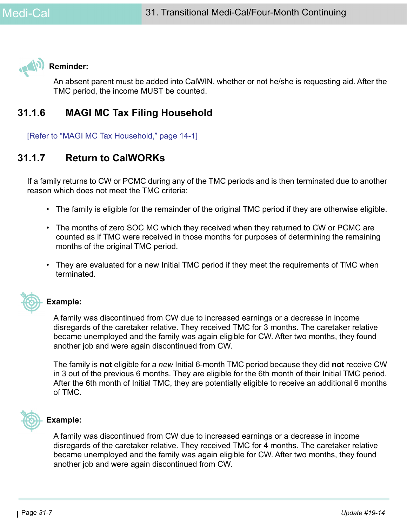

## **Reminder:**

An absent parent must be added into CalWIN, whether or not he/she is requesting aid. After the TMC period, the income MUST be counted.

# **31.1.6 MAGI MC Tax Filing Household**

[Refer to "MAGI MC Tax Household," page 14-1]

# **31.1.7 Return to CalWORKs**

If a family returns to CW or PCMC during any of the TMC periods and is then terminated due to another reason which does not meet the TMC criteria:

- The family is eligible for the remainder of the original TMC period if they are otherwise eligible.
- The months of zero SOC MC which they received when they returned to CW or PCMC are counted as if TMC were received in those months for purposes of determining the remaining months of the original TMC period.
- They are evaluated for a new Initial TMC period if they meet the requirements of TMC when terminated.



## **Example:**

A family was discontinued from CW due to increased earnings or a decrease in income disregards of the caretaker relative. They received TMC for 3 months. The caretaker relative became unemployed and the family was again eligible for CW. After two months, they found another job and were again discontinued from CW.

The family is **not** eligible for a *new* Initial 6-month TMC period because they did **not** receive CW in 3 out of the previous 6 months. They are eligible for the 6th month of their Initial TMC period. After the 6th month of Initial TMC, they are potentially eligible to receive an additional 6 months of TMC.



#### **Example:**

A family was discontinued from CW due to increased earnings or a decrease in income disregards of the caretaker relative. They received TMC for 4 months. The caretaker relative became unemployed and the family was again eligible for CW. After two months, they found another job and were again discontinued from CW.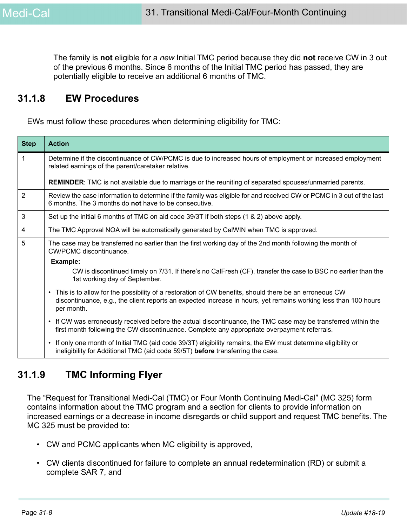The family is **not** eligible for a *new* Initial TMC period because they did **not** receive CW in 3 out of the previous 6 months. Since 6 months of the Initial TMC period has passed, they are potentially eligible to receive an additional 6 months of TMC.

## **31.1.8 EW Procedures**

EWs must follow these procedures when determining eligibility for TMC:

| <b>Step</b>    | <b>Action</b>                                                                                                                                                                                                                                       |
|----------------|-----------------------------------------------------------------------------------------------------------------------------------------------------------------------------------------------------------------------------------------------------|
| $\mathbf{1}$   | Determine if the discontinuance of CW/PCMC is due to increased hours of employment or increased employment<br>related earnings of the parent/caretaker relative.                                                                                    |
|                | <b>REMINDER:</b> TMC is not available due to marriage or the reuniting of separated spouses/unmarried parents.                                                                                                                                      |
| $\overline{2}$ | Review the case information to determine if the family was eligible for and received CW or PCMC in 3 out of the last<br>6 months. The 3 months do <b>not</b> have to be consecutive.                                                                |
| 3              | Set up the initial 6 months of TMC on aid code 39/3T if both steps (1 & 2) above apply.                                                                                                                                                             |
| 4              | The TMC Approval NOA will be automatically generated by CalWIN when TMC is approved.                                                                                                                                                                |
| 5              | The case may be transferred no earlier than the first working day of the 2nd month following the month of<br><b>CW/PCMC</b> discontinuance.                                                                                                         |
|                | Example:                                                                                                                                                                                                                                            |
|                | CW is discontinued timely on 7/31. If there's no CalFresh (CF), transfer the case to BSC no earlier than the<br>1st working day of September.                                                                                                       |
|                | This is to allow for the possibility of a restoration of CW benefits, should there be an erroneous CW<br>$\bullet$<br>discontinuance, e.g., the client reports an expected increase in hours, yet remains working less than 100 hours<br>per month. |
|                | If CW was erroneously received before the actual discontinuance, the TMC case may be transferred within the<br>$\bullet$<br>first month following the CW discontinuance. Complete any appropriate overpayment referrals.                            |
|                | If only one month of Initial TMC (aid code 39/3T) eligibility remains, the EW must determine eligibility or<br>٠<br>ineligibility for Additional TMC (aid code 59/5T) before transferring the case.                                                 |

# **31.1.9 TMC Informing Flyer**

The "Request for Transitional Medi-Cal (TMC) or Four Month Continuing Medi-Cal" (MC 325) form contains information about the TMC program and a section for clients to provide information on increased earnings or a decrease in income disregards or child support and request TMC benefits. The MC 325 must be provided to:

- CW and PCMC applicants when MC eligibility is approved,
- CW clients discontinued for failure to complete an annual redetermination (RD) or submit a complete SAR 7, and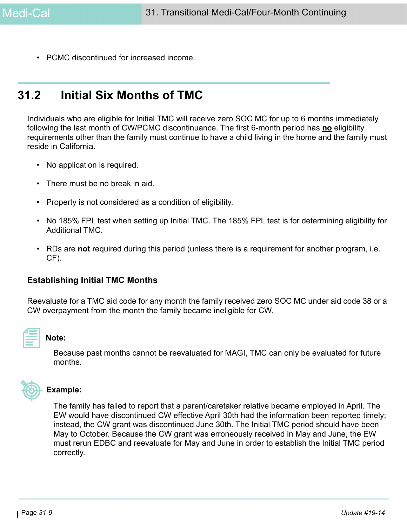• PCMC discontinued for increased income.

# **31.2 Initial Six Months of TMC**

Individuals who are eligible for Initial TMC will receive zero SOC MC for up to 6 months immediately following the last month of CW/PCMC discontinuance. The first 6-month period has **no** eligibility requirements other than the family must continue to have a child living in the home and the family must reside in California.

- No application is required.
- There must be no break in aid.
- Property is not considered as a condition of eligibility.
- No 185% FPL test when setting up Initial TMC. The 185% FPL test is for determining eligibility for Additional TMC.
- RDs are **not** required during this period (unless there is a requirement for another program, i.e. CF).

#### <span id="page-8-0"></span>**Establishing Initial TMC Months**

Reevaluate for a TMC aid code for any month the family received zero SOC MC under aid code 38 or a CW overpayment from the month the family became ineligible for CW.



#### **Note:**

Because past months cannot be reevaluated for MAGI, TMC can only be evaluated for future months.



#### **Example:**

The family has failed to report that a parent/caretaker relative became employed in April. The EW would have discontinued CW effective April 30th had the information been reported timely; instead, the CW grant was discontinued June 30th. The Initial TMC period should have been May to October. Because the CW grant was erroneously received in May and June, the EW must rerun EDBC and reevaluate for May and June in order to establish the Initial TMC period correctly.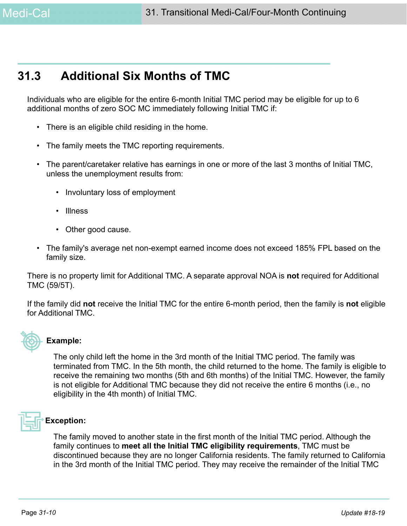# **31.3 Additional Six Months of TMC**

Individuals who are eligible for the entire 6-month Initial TMC period may be eligible for up to 6 additional months of zero SOC MC immediately following Initial TMC if:

- There is an eligible child residing in the home.
- The family meets the TMC reporting requirements.
- The parent/caretaker relative has earnings in one or more of the last 3 months of Initial TMC, unless the unemployment results from:
	- Involuntary loss of employment
	- Illness
	- Other good cause.
- The family's average net non-exempt earned income does not exceed 185% FPL based on the family size.

There is no property limit for Additional TMC. A separate approval NOA is **not** required for Additional TMC (59/5T).

If the family did **not** receive the Initial TMC for the entire 6-month period, then the family is **not** eligible for Additional TMC.



#### **Example:**

The only child left the home in the 3rd month of the Initial TMC period. The family was terminated from TMC. In the 5th month, the child returned to the home. The family is eligible to receive the remaining two months (5th and 6th months) of the Initial TMC. However, the family is not eligible for Additional TMC because they did not receive the entire 6 months (i.e., no eligibility in the 4th month) of Initial TMC.



## **Exception:**

The family moved to another state in the first month of the Initial TMC period. Although the family continues to **meet all the Initial TMC eligibility requirements**, TMC must be discontinued because they are no longer California residents. The family returned to California in the 3rd month of the Initial TMC period. They may receive the remainder of the Initial TMC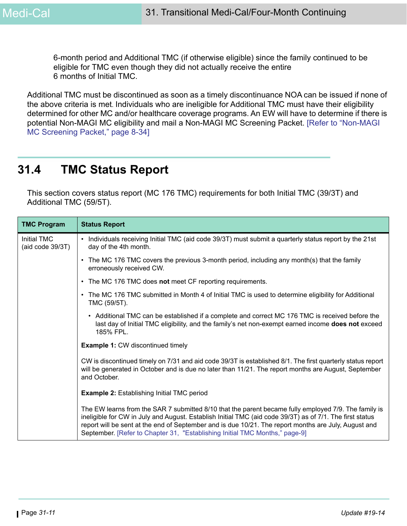6-month period and Additional TMC (if otherwise eligible) since the family continued to be eligible for TMC even though they did not actually receive the entire 6 months of Initial TMC.

Additional TMC must be discontinued as soon as a timely discontinuance NOA can be issued if none of the above criteria is met. Individuals who are ineligible for Additional TMC must have their eligibility determined for other MC and/or healthcare coverage programs. An EW will have to determine if there is potential Non-MAGI MC eligibility and mail a Non-MAGI MC Screening Packet. [Refer to "Non-MAGI MC Screening Packet," page 8-34]

# **31.4 TMC Status Report**

This section covers status report (MC 176 TMC) requirements for both Initial TMC (39/3T) and Additional TMC (59/5T).

| <b>TMC Program</b>                     | <b>Status Report</b>                                                                                                                                                                                                                                                                                                                                                                                    |
|----------------------------------------|---------------------------------------------------------------------------------------------------------------------------------------------------------------------------------------------------------------------------------------------------------------------------------------------------------------------------------------------------------------------------------------------------------|
| <b>Initial TMC</b><br>(aid code 39/3T) | • Individuals receiving Initial TMC (aid code 39/3T) must submit a quarterly status report by the 21st<br>day of the 4th month.                                                                                                                                                                                                                                                                         |
|                                        | • The MC 176 TMC covers the previous 3-month period, including any month(s) that the family<br>erroneously received CW.                                                                                                                                                                                                                                                                                 |
|                                        | • The MC 176 TMC does not meet CF reporting requirements.                                                                                                                                                                                                                                                                                                                                               |
|                                        | • The MC 176 TMC submitted in Month 4 of Initial TMC is used to determine eligibility for Additional<br>TMC (59/5T).                                                                                                                                                                                                                                                                                    |
|                                        | • Additional TMC can be established if a complete and correct MC 176 TMC is received before the<br>last day of Initial TMC eligibility, and the family's net non-exempt earned income does not exceed<br>185% FPL.                                                                                                                                                                                      |
|                                        | <b>Example 1: CW discontinued timely</b>                                                                                                                                                                                                                                                                                                                                                                |
|                                        | CW is discontinued timely on 7/31 and aid code 39/3T is established 8/1. The first quarterly status report<br>will be generated in October and is due no later than 11/21. The report months are August, September<br>and October.                                                                                                                                                                      |
|                                        | <b>Example 2: Establishing Initial TMC period</b>                                                                                                                                                                                                                                                                                                                                                       |
|                                        | The EW learns from the SAR 7 submitted 8/10 that the parent became fully employed 7/9. The family is<br>ineligible for CW in July and August. Establish Initial TMC (aid code 39/3T) as of 7/1. The first status<br>report will be sent at the end of September and is due 10/21. The report months are July, August and<br>September. [Refer to Chapter 31, "Establishing Initial TMC Months," page-9] |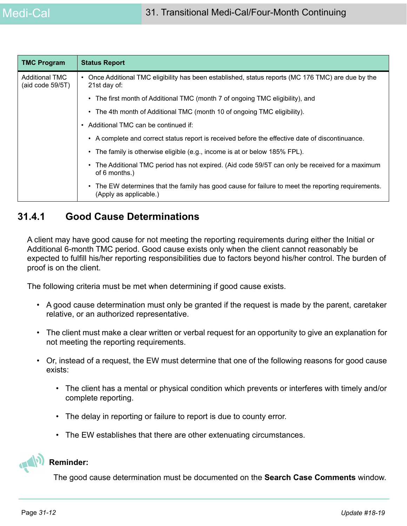| <b>TMC Program</b>                           | <b>Status Report</b>                                                                                                         |  |  |
|----------------------------------------------|------------------------------------------------------------------------------------------------------------------------------|--|--|
| <b>Additional TMC</b><br>(aid code $59/5T$ ) | Once Additional TMC eligibility has been established, status reports (MC 176 TMC) are due by the<br>21st day of:             |  |  |
|                                              | • The first month of Additional TMC (month 7 of ongoing TMC eligibility), and                                                |  |  |
|                                              | • The 4th month of Additional TMC (month 10 of ongoing TMC eligibility).                                                     |  |  |
|                                              | Additional TMC can be continued if:<br>٠                                                                                     |  |  |
|                                              | • A complete and correct status report is received before the effective date of discontinuance.                              |  |  |
|                                              | • The family is otherwise eligible (e.g., income is at or below 185% FPL).                                                   |  |  |
|                                              | The Additional TMC period has not expired. (Aid code 59/5T can only be received for a maximum<br>$\bullet$<br>of 6 months.)  |  |  |
|                                              | • The EW determines that the family has good cause for failure to meet the reporting requirements.<br>(Apply as applicable.) |  |  |

# **31.4.1 Good Cause Determinations**

A client may have good cause for not meeting the reporting requirements during either the Initial or Additional 6-month TMC period. Good cause exists only when the client cannot reasonably be expected to fulfill his/her reporting responsibilities due to factors beyond his/her control. The burden of proof is on the client.

The following criteria must be met when determining if good cause exists.

- A good cause determination must only be granted if the request is made by the parent, caretaker relative, or an authorized representative.
- The client must make a clear written or verbal request for an opportunity to give an explanation for not meeting the reporting requirements.
- Or, instead of a request, the EW must determine that one of the following reasons for good cause exists:
	- The client has a mental or physical condition which prevents or interferes with timely and/or complete reporting.
	- The delay in reporting or failure to report is due to county error.
	- The EW establishes that there are other extenuating circumstances.



#### **Reminder:**

The good cause determination must be documented on the **Search Case Comments** window.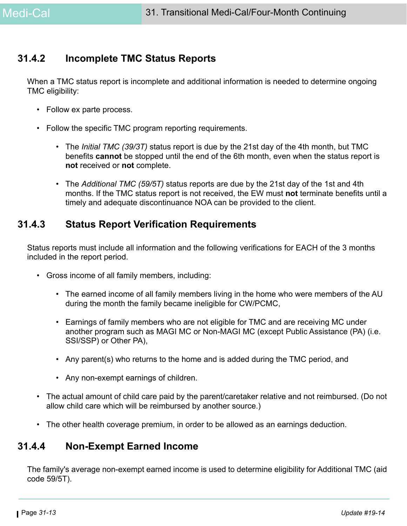## **31.4.2 Incomplete TMC Status Reports**

When a TMC status report is incomplete and additional information is needed to determine ongoing TMC eligibility:

- Follow ex parte process.
- Follow the specific TMC program reporting requirements.
	- The *Initial TMC (39/3T)* status report is due by the 21st day of the 4th month, but TMC benefits **cannot** be stopped until the end of the 6th month, even when the status report is **not** received or **not** complete.
	- The *Additional TMC (59/5T)* status reports are due by the 21st day of the 1st and 4th months. If the TMC status report is not received, the EW must **not** terminate benefits until a timely and adequate discontinuance NOA can be provided to the client.

## **31.4.3 Status Report Verification Requirements**

Status reports must include all information and the following verifications for EACH of the 3 months included in the report period.

- Gross income of all family members, including:
	- The earned income of all family members living in the home who were members of the AU during the month the family became ineligible for CW/PCMC,
	- Earnings of family members who are not eligible for TMC and are receiving MC under another program such as MAGI MC or Non-MAGI MC (except Public Assistance (PA) (i.e. SSI/SSP) or Other PA),
	- Any parent(s) who returns to the home and is added during the TMC period, and
	- Any non-exempt earnings of children.
- The actual amount of child care paid by the parent/caretaker relative and not reimbursed. (Do not allow child care which will be reimbursed by another source.)
- The other health coverage premium, in order to be allowed as an earnings deduction.

# **31.4.4 Non-Exempt Earned Income**

The family's average non-exempt earned income is used to determine eligibility for Additional TMC (aid code 59/5T).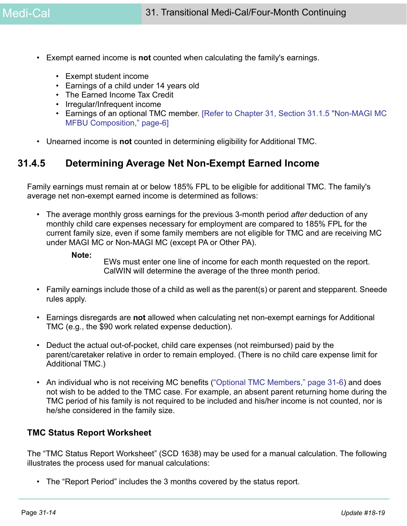- Exempt earned income is **not** counted when calculating the family's earnings.
	- Exempt student income
	- Earnings of a child under 14 years old
	- The Earned Income Tax Credit
	- Irregular/Infrequent income
	- Earnings of an optional TMC member. [\[Refer to Chapter 31, Section 31.1.5 "Non-MAGI MC](#page-5-0)  [MFBU Composition," page-6\]](#page-5-0)
- Unearned income is **not** counted in determining eligibility for Additional TMC.

## **31.4.5 Determining Average Net Non-Exempt Earned Income**

Family earnings must remain at or below 185% FPL to be eligible for additional TMC. The family's average net non-exempt earned income is determined as follows:

- The average monthly gross earnings for the previous 3-month period *after* deduction of any monthly child care expenses necessary for employment are compared to 185% FPL for the current family size, even if some family members are not eligible for TMC and are receiving MC under MAGI MC or Non-MAGI MC (except PA or Other PA).
	- **Note:**

EWs must enter one line of income for each month requested on the report. CalWIN will determine the average of the three month period.

- Family earnings include those of a child as well as the parent(s) or parent and stepparent. Sneede rules apply.
- Earnings disregards are **not** allowed when calculating net non-exempt earnings for Additional TMC (e.g., the \$90 work related expense deduction).
- Deduct the actual out-of-pocket, child care expenses (not reimbursed) paid by the parent/caretaker relative in order to remain employed. (There is no child care expense limit for Additional TMC.)
- An individual who is not receiving MC benefits [\("Optional TMC Members," page 31-6\)](#page-5-1) and does not wish to be added to the TMC case. For example, an absent parent returning home during the TMC period of his family is not required to be included and his/her income is not counted, nor is he/she considered in the family size.

#### **TMC Status Report Worksheet**

The "TMC Status Report Worksheet" (SCD 1638) may be used for a manual calculation. The following illustrates the process used for manual calculations:

• The "Report Period" includes the 3 months covered by the status report.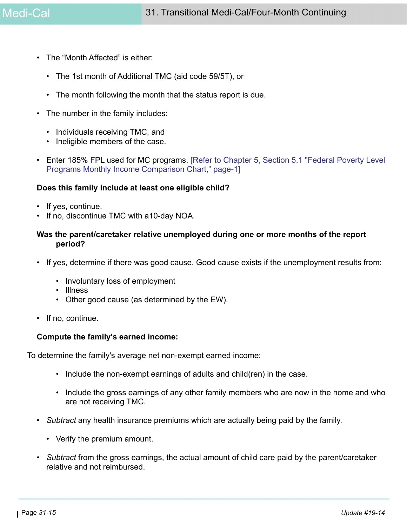- The "Month Affected" is either:
	- The 1st month of Additional TMC (aid code 59/5T), or
	- The month following the month that the status report is due.
- The number in the family includes:
	- Individuals receiving TMC, and
	- Ineligible members of the case.
- Enter 185% FPL used for MC programs. [Refer to Chapter 5, Section 5.1 "Federal Poverty Level Programs Monthly Income Comparison Chart," page-1]

#### **Does this family include at least one eligible child?**

- If yes, continue.
- If no, discontinue TMC with a10-day NOA.

#### **Was the parent/caretaker relative unemployed during one or more months of the report period?**

- If yes, determine if there was good cause. Good cause exists if the unemployment results from:
	- Involuntary loss of employment
	- Illness
	- Other good cause (as determined by the EW).
- If no, continue.

#### **Compute the family's earned income:**

To determine the family's average net non-exempt earned income:

- Include the non-exempt earnings of adults and child(ren) in the case.
- Include the gross earnings of any other family members who are now in the home and who are not receiving TMC.
- *Subtract* any health insurance premiums which are actually being paid by the family.
	- Verify the premium amount.
- *Subtract* from the gross earnings, the actual amount of child care paid by the parent/caretaker relative and not reimbursed.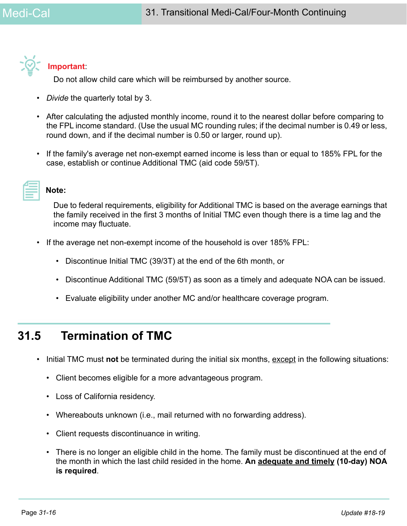

### **Important**:

Do not allow child care which will be reimbursed by another source.

- *Divide* the quarterly total by 3.
- After calculating the adjusted monthly income, round it to the nearest dollar before comparing to the FPL income standard. (Use the usual MC rounding rules; if the decimal number is 0.49 or less, round down, and if the decimal number is 0.50 or larger, round up).
- If the family's average net non-exempt earned income is less than or equal to 185% FPL for the case, establish or continue Additional TMC (aid code 59/5T).

### **Note:**

Due to federal requirements, eligibility for Additional TMC is based on the average earnings that the family received in the first 3 months of Initial TMC even though there is a time lag and the income may fluctuate.

- If the average net non-exempt income of the household is over 185% FPL:
	- Discontinue Initial TMC (39/3T) at the end of the 6th month, or
	- Discontinue Additional TMC (59/5T) as soon as a timely and adequate NOA can be issued.
	- Evaluate eligibility under another MC and/or healthcare coverage program.

# **31.5 Termination of TMC**

- Initial TMC must **not** be terminated during the initial six months, except in the following situations:
	- Client becomes eligible for a more advantageous program.
	- Loss of California residency.
	- Whereabouts unknown (i.e., mail returned with no forwarding address).
	- Client requests discontinuance in writing.
	- There is no longer an eligible child in the home. The family must be discontinued at the end of the month in which the last child resided in the home. **An adequate and timely (10-day) NOA is required**.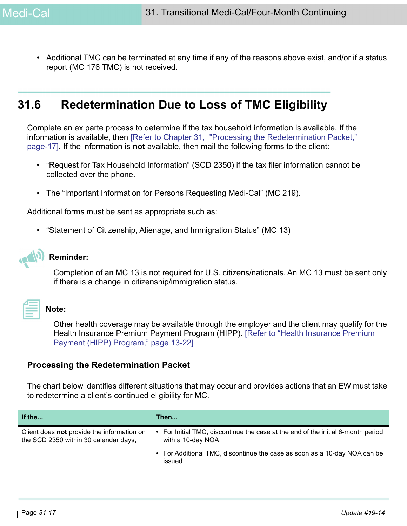• Additional TMC can be terminated at any time if any of the reasons above exist, and/or if a status report (MC 176 TMC) is not received.

# **31.6 Redetermination Due to Loss of TMC Eligibility**

Complete an ex parte process to determine if the tax household information is available. If the information is available, then [\[Refer to Chapter 31, "Processing the Redetermination Packet,"](#page-16-0) [page-17\]](#page-16-0). If the information is **not** available, then mail the following forms to the client:

- "Request for Tax Household Information" (SCD 2350) if the tax filer information cannot be collected over the phone.
- The "Important Information for Persons Requesting Medi-Cal" (MC 219).

Additional forms must be sent as appropriate such as:

• "Statement of Citizenship, Alienage, and Immigration Status" (MC 13)

#### **Reminder:**

Completion of an MC 13 is not required for U.S. citizens/nationals. An MC 13 must be sent only if there is a change in citizenship/immigration status.

**Note:** 

Other health coverage may be available through the employer and the client may qualify for the Health Insurance Premium Payment Program (HIPP). [Refer to "Health Insurance Premium

#### <span id="page-16-0"></span>**Processing the Redetermination Packet**

Payment (HIPP) Program," page 13-22]

The chart below identifies different situations that may occur and provides actions that an EW must take to redetermine a client's continued eligibility for MC.

| If the                                                                              | Then                                                                                                 |
|-------------------------------------------------------------------------------------|------------------------------------------------------------------------------------------------------|
| Client does not provide the information on<br>the SCD 2350 within 30 calendar days, | For Initial TMC, discontinue the case at the end of the initial 6-month period<br>with a 10-day NOA. |
|                                                                                     | • For Additional TMC, discontinue the case as soon as a 10-day NOA can be<br>issued.                 |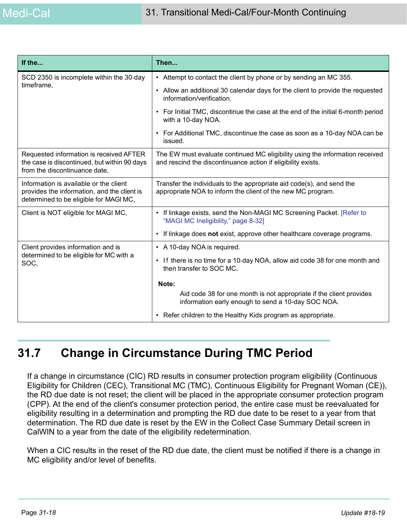| If the                                                                                                                          | Then                                                                                                                                         |  |
|---------------------------------------------------------------------------------------------------------------------------------|----------------------------------------------------------------------------------------------------------------------------------------------|--|
| SCD 2350 is incomplete within the 30-day                                                                                        | • Attempt to contact the client by phone or by sending an MC 355.                                                                            |  |
| timeframe,                                                                                                                      | • Allow an additional 30 calendar days for the client to provide the requested<br>information/verification.                                  |  |
|                                                                                                                                 | For Initial TMC, discontinue the case at the end of the initial 6-month period<br>$\bullet$<br>with a 10-day NOA.                            |  |
|                                                                                                                                 | For Additional TMC, discontinue the case as soon as a 10-day NOA can be<br>$\bullet$<br>issued.                                              |  |
| Requested information is received AFTER<br>the case is discontinued, but within 90 days<br>from the discontinuance date,        | The EW must evaluate continued MC eligibility using the information received<br>and rescind the discontinuance action if eligibility exists. |  |
| Information is available or the client<br>provides the information, and the client is<br>determined to be eligible for MAGI MC, | Transfer the individuals to the appropriate aid code(s), and send the<br>appropriate NOA to inform the client of the new MC program.         |  |
| Client is NOT eligible for MAGI MC,                                                                                             | • If linkage exists, send the Non-MAGI MC Screening Packet. [Refer to<br>"MAGI MC Ineligibility," page 8-32]                                 |  |
|                                                                                                                                 | If linkage does not exist, approve other healthcare coverage programs.<br>$\bullet$                                                          |  |
| Client provides information and is                                                                                              | • A 10-day NOA is required.                                                                                                                  |  |
| determined to be eligible for MC with a<br>SOC,                                                                                 | If there is no time for a 10-day NOA, allow aid code 38 for one month and<br>$\bullet$<br>then transfer to SOC MC.                           |  |
|                                                                                                                                 | Note:                                                                                                                                        |  |
|                                                                                                                                 | Aid code 38 for one month is not appropriate if the client provides<br>information early enough to send a 10-day SOC NOA.                    |  |
|                                                                                                                                 | Refer children to the Healthy Kids program as appropriate.<br>$\bullet$                                                                      |  |

# **31.7 Change in Circumstance During TMC Period**

If a change in circumstance (CIC) RD results in consumer protection program eligibility (Continuous Eligibility for Children (CEC), Transitional MC (TMC), Continuous Eligibility for Pregnant Woman (CE)), the RD due date is not reset; the client will be placed in the appropriate consumer protection program (CPP). At the end of the client's consumer protection period, the entire case must be reevaluated for eligibility resulting in a determination and prompting the RD due date to be reset to a year from that determination. The RD due date is reset by the EW in the Collect Case Summary Detail screen in CalWIN to a year from the date of the eligibility redetermination.

When a CIC results in the reset of the RD due date, the client must be notified if there is a change in MC eligibility and/or level of benefits.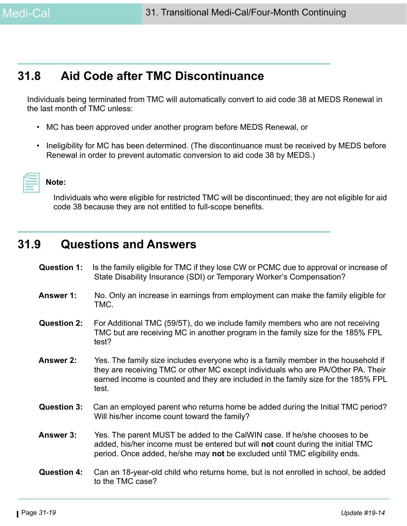# **31.8 Aid Code after TMC Discontinuance**

Individuals being terminated from TMC will automatically convert to aid code 38 at MEDS Renewal in the last month of TMC unless:

- MC has been approved under another program before MEDS Renewal, or
- Ineligibility for MC has been determined. (The discontinuance must be received by MEDS before Renewal in order to prevent automatic conversion to aid code 38 by MEDS.)



**Note:** 

Individuals who were eligible for restricted TMC will be discontinued; they are not eligible for aid code 38 because they are not entitled to full-scope benefits.

# **31.9 Questions and Answers**

- **Question 1:** Is the family eligible for TMC if they lose CW or PCMC due to approval or increase of State Disability Insurance (SDI) or Temporary Worker's Compensation?
- **Answer 1:** No. Only an increase in earnings from employment can make the family eligible for TMC.
- **Question 2:** For Additional TMC (59/5T), do we include family members who are not receiving TMC but are receiving MC in another program in the family size for the 185% FPL test?
- **Answer 2:** Yes. The family size includes everyone who is a family member in the household if they are receiving TMC or other MC except individuals who are PA/Other PA. Their earned income is counted and they are included in the family size for the 185% FPL test.
- **Question 3:** Can an employed parent who returns home be added during the Initial TMC period? Will his/her income count toward the family?
- **Answer 3:** Yes. The parent MUST be added to the CalWIN case. If he/she chooses to be added, his/her income must be entered but will **not** count during the initial TMC period. Once added, he/she may **not** be excluded until TMC eligibility ends.
- **Question 4:** Can an 18-year-old child who returns home, but is not enrolled in school, be added to the TMC case?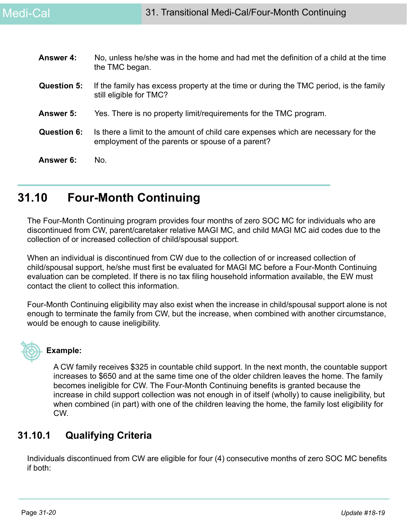| <b>Answer 4:</b>   | No, unless he/she was in the home and had met the definition of a child at the time<br>the TMC began.                                 |
|--------------------|---------------------------------------------------------------------------------------------------------------------------------------|
| <b>Question 5:</b> | If the family has excess property at the time or during the TMC period, is the family<br>still eligible for TMC?                      |
| Answer 5:          | Yes. There is no property limit/requirements for the TMC program.                                                                     |
| <b>Question 6:</b> | Is there a limit to the amount of child care expenses which are necessary for the<br>employment of the parents or spouse of a parent? |
| Answer 6:          | No.                                                                                                                                   |

# **31.10 Four-Month Continuing**

The Four-Month Continuing program provides four months of zero SOC MC for individuals who are discontinued from CW, parent/caretaker relative MAGI MC, and child MAGI MC aid codes due to the collection of or increased collection of child/spousal support.

When an individual is discontinued from CW due to the collection of or increased collection of child/spousal support, he/she must first be evaluated for MAGI MC before a Four-Month Continuing evaluation can be completed. If there is no tax filing household information available, the EW must contact the client to collect this information.

Four-Month Continuing eligibility may also exist when the increase in child/spousal support alone is not enough to terminate the family from CW, but the increase, when combined with another circumstance, would be enough to cause ineligibility.

# **Example:**

A CW family receives \$325 in countable child support. In the next month, the countable support increases to \$650 and at the same time one of the older children leaves the home. The family becomes ineligible for CW. The Four-Month Continuing benefits is granted because the increase in child support collection was not enough in of itself (wholly) to cause ineligibility, but when combined (in part) with one of the children leaving the home, the family lost eligibility for CW.

# **31.10.1 Qualifying Criteria**

Individuals discontinued from CW are eligible for four (4) consecutive months of zero SOC MC benefits if both: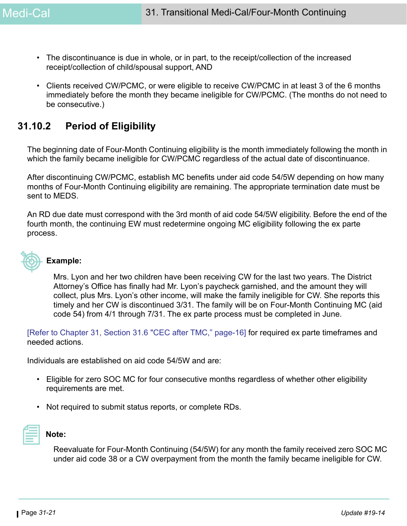- The discontinuance is due in whole, or in part, to the receipt/collection of the increased receipt/collection of child/spousal support, AND
- Clients received CW/PCMC, or were eligible to receive CW/PCMC in at least 3 of the 6 months immediately before the month they became ineligible for CW/PCMC. (The months do not need to be consecutive.)

# **31.10.2 Period of Eligibility**

The beginning date of Four-Month Continuing eligibility is the month immediately following the month in which the family became ineligible for CW/PCMC regardless of the actual date of discontinuance.

After discontinuing CW/PCMC, establish MC benefits under aid code 54/5W depending on how many months of Four-Month Continuing eligibility are remaining. The appropriate termination date must be sent to MEDS.

An RD due date must correspond with the 3rd month of aid code 54/5W eligibility. Before the end of the fourth month, the continuing EW must redetermine ongoing MC eligibility following the ex parte process.



### **Example:**

Mrs. Lyon and her two children have been receiving CW for the last two years. The District Attorney's Office has finally had Mr. Lyon's paycheck garnished, and the amount they will collect, plus Mrs. Lyon's other income, will make the family ineligible for CW. She reports this timely and her CW is discontinued 3/31. The family will be on Four-Month Continuing MC (aid code 54) from 4/1 through 7/31. The ex parte process must be completed in June.

[Refer to Chapter 31, Section 31.6 "CEC after TMC," page-16] for required ex parte timeframes and needed actions.

Individuals are established on aid code 54/5W and are:

- Eligible for zero SOC MC for four consecutive months regardless of whether other eligibility requirements are met.
- Not required to submit status reports, or complete RDs.



#### **Note:**

Reevaluate for Four-Month Continuing (54/5W) for any month the family received zero SOC MC under aid code 38 or a CW overpayment from the month the family became ineligible for CW.